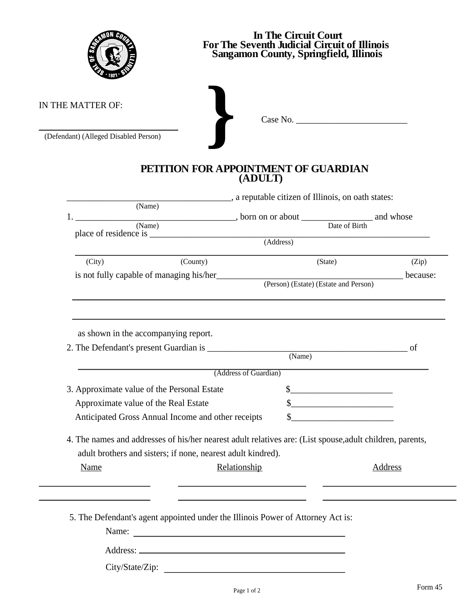

## **In The Circuit Court For The Seventh Judicial Circuit of Illinois Sangamon County, Springfield, Illinois**

IN THE MATTER OF:

N THE MATTER OF:<br>
(Defendant) (Alleged Disabled Person)<br> *Case No.* 

## **PETITION FOR APPOINTMENT OF GUARDIAN (ADULT)**

| (Name)<br>(Name), born on or about Date of Birth and whose<br>1.<br>$(\overline{\mathsf{Address}})$<br>(County)<br>(Zip)<br>(City)<br>(State)<br>(Person) (Estate) (Estate and Person)<br>as shown in the accompanying report.<br>(Name)<br>(Address of Guardian)<br>3. Approximate value of the Personal Estate<br>$\frac{1}{2}$<br>Approximate value of the Real Estate<br>Anticipated Gross Annual Income and other receipts<br>$\sim$ $\sim$<br>4. The names and addresses of his/her nearest adult relatives are: (List spouse, adult children, parents,<br>adult brothers and sisters; if none, nearest adult kindred).<br>Name<br>Relationship<br>Address<br>5. The Defendant's agent appointed under the Illinois Power of Attorney Act is: | a reputable citizen of Illinois, on oath states: |  |  |          |  |
|-----------------------------------------------------------------------------------------------------------------------------------------------------------------------------------------------------------------------------------------------------------------------------------------------------------------------------------------------------------------------------------------------------------------------------------------------------------------------------------------------------------------------------------------------------------------------------------------------------------------------------------------------------------------------------------------------------------------------------------------------------|--------------------------------------------------|--|--|----------|--|
|                                                                                                                                                                                                                                                                                                                                                                                                                                                                                                                                                                                                                                                                                                                                                     |                                                  |  |  |          |  |
|                                                                                                                                                                                                                                                                                                                                                                                                                                                                                                                                                                                                                                                                                                                                                     |                                                  |  |  |          |  |
|                                                                                                                                                                                                                                                                                                                                                                                                                                                                                                                                                                                                                                                                                                                                                     |                                                  |  |  |          |  |
|                                                                                                                                                                                                                                                                                                                                                                                                                                                                                                                                                                                                                                                                                                                                                     |                                                  |  |  |          |  |
|                                                                                                                                                                                                                                                                                                                                                                                                                                                                                                                                                                                                                                                                                                                                                     |                                                  |  |  |          |  |
|                                                                                                                                                                                                                                                                                                                                                                                                                                                                                                                                                                                                                                                                                                                                                     |                                                  |  |  | because: |  |
|                                                                                                                                                                                                                                                                                                                                                                                                                                                                                                                                                                                                                                                                                                                                                     |                                                  |  |  |          |  |
|                                                                                                                                                                                                                                                                                                                                                                                                                                                                                                                                                                                                                                                                                                                                                     |                                                  |  |  |          |  |
|                                                                                                                                                                                                                                                                                                                                                                                                                                                                                                                                                                                                                                                                                                                                                     |                                                  |  |  |          |  |
|                                                                                                                                                                                                                                                                                                                                                                                                                                                                                                                                                                                                                                                                                                                                                     |                                                  |  |  |          |  |
|                                                                                                                                                                                                                                                                                                                                                                                                                                                                                                                                                                                                                                                                                                                                                     |                                                  |  |  |          |  |
|                                                                                                                                                                                                                                                                                                                                                                                                                                                                                                                                                                                                                                                                                                                                                     |                                                  |  |  |          |  |
|                                                                                                                                                                                                                                                                                                                                                                                                                                                                                                                                                                                                                                                                                                                                                     |                                                  |  |  |          |  |
|                                                                                                                                                                                                                                                                                                                                                                                                                                                                                                                                                                                                                                                                                                                                                     |                                                  |  |  |          |  |
|                                                                                                                                                                                                                                                                                                                                                                                                                                                                                                                                                                                                                                                                                                                                                     |                                                  |  |  |          |  |
|                                                                                                                                                                                                                                                                                                                                                                                                                                                                                                                                                                                                                                                                                                                                                     |                                                  |  |  |          |  |
|                                                                                                                                                                                                                                                                                                                                                                                                                                                                                                                                                                                                                                                                                                                                                     |                                                  |  |  |          |  |
|                                                                                                                                                                                                                                                                                                                                                                                                                                                                                                                                                                                                                                                                                                                                                     |                                                  |  |  |          |  |
|                                                                                                                                                                                                                                                                                                                                                                                                                                                                                                                                                                                                                                                                                                                                                     |                                                  |  |  |          |  |
|                                                                                                                                                                                                                                                                                                                                                                                                                                                                                                                                                                                                                                                                                                                                                     |                                                  |  |  |          |  |
|                                                                                                                                                                                                                                                                                                                                                                                                                                                                                                                                                                                                                                                                                                                                                     |                                                  |  |  |          |  |
|                                                                                                                                                                                                                                                                                                                                                                                                                                                                                                                                                                                                                                                                                                                                                     |                                                  |  |  |          |  |